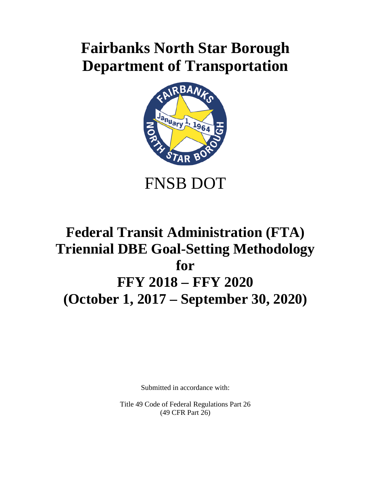# **Fairbanks North Star Borough Department of Transportation**



## **Federal Transit Administration (FTA) Triennial DBE Goal-Setting Methodology for FFY 2018 – FFY 2020 (October 1, 2017 – September 30, 2020)**

Submitted in accordance with:

Title 49 Code of Federal Regulations Part 26 (49 CFR Part 26)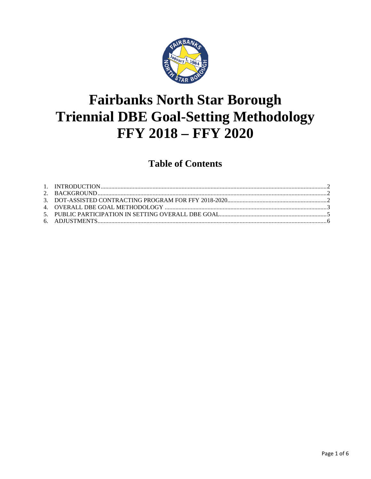

## **Fairbanks North Star Borough Triennial DBE Goal-Setting Methodology FFY 2018 - FFY 2020**

## **Table of Contents**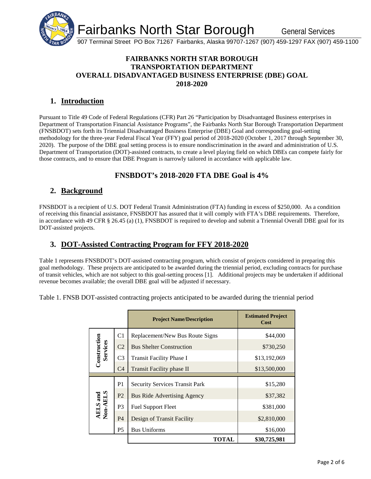

#### **FAIRBANKS NORTH STAR BOROUGH TRANSPORTATION DEPARTMENT OVERALL DISADVANTAGED BUSINESS ENTERPRISE (DBE) GOAL 2018-2020**

## **1. Introduction**

Pursuant to Title 49 Code of Federal Regulations (CFR) Part 26 "Participation by Disadvantaged Business enterprises in Department of Transportation Financial Assistance Programs", the Fairbanks North Star Borough Transportation Department (FNSBDOT) sets forth its Triennial Disadvantaged Business Enterprise (DBE) Goal and corresponding goal-setting methodology for the three-year Federal Fiscal Year (FFY) goal period of 2018-2020 (October 1, 2017 through September 30, 2020). The purpose of the DBE goal setting process is to ensure nondiscrimination in the award and administration of U.S. Department of Transportation (DOT)-assisted contracts, to create a level playing field on which DBEs can compete fairly for those contracts, and to ensure that DBE Program is narrowly tailored in accordance with applicable law.

### **FNSBDOT's 2018-2020 FTA DBE Goal is 4%**

### **2. Background**

FNSBDOT is a recipient of U.S. DOT Federal Transit Administration (FTA) funding in excess of \$250,000. As a condition of receiving this financial assistance, FNSBDOT has assured that it will comply with FTA's DBE requirements. Therefore, in accordance with 49 CFR § 26.45 (a) (1), FNSBDOT is required to develop and submit a Triennial Overall DBE goal for its DOT-assisted projects.

### **3. DOT-Assisted Contracting Program for FFY 2018-2020**

Table 1 represents FNSBDOT's DOT-assisted contracting program, which consist of projects considered in preparing this goal methodology. These projects are anticipated to be awarded during the triennial period, excluding contracts for purchase of transit vehicles, which are not subject to this goal-setting process [1]. Additional projects may be undertaken if additional revenue becomes available; the overall DBE goal will be adjusted if necessary.

Table 1. FNSB DOT-assisted contracting projects anticipated to be awarded during the triennial period

|                          |                | <b>Project Name/Description</b>       | <b>Estimated Project</b><br>Cost |
|--------------------------|----------------|---------------------------------------|----------------------------------|
|                          | C1             | Replacement/New Bus Route Signs       | \$44,000                         |
| Construction<br>Services | C <sub>2</sub> | <b>Bus Shelter Construction</b>       | \$730,250                        |
|                          | C <sub>3</sub> | <b>Transit Facility Phase I</b>       | \$13,192,069                     |
|                          | C <sub>4</sub> | <b>Transit Facility phase II</b>      | \$13,500,000                     |
|                          | P <sub>1</sub> | <b>Security Services Transit Park</b> | \$15,280                         |
|                          | P <sub>2</sub> | <b>Bus Ride Advertising Agency</b>    | \$37,382                         |
| AELS and<br>Non-AELS     | P <sub>3</sub> | <b>Fuel Support Fleet</b>             | \$381,000                        |
|                          | P <sub>4</sub> | Design of Transit Facility            | \$2,810,000                      |
|                          | P <sub>5</sub> | <b>Bus Uniforms</b>                   | \$16,000                         |
|                          |                | TOTAL                                 | \$30,725,981                     |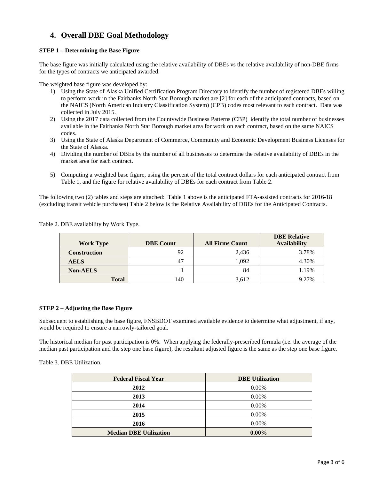### **4. Overall DBE Goal Methodology**

#### **STEP 1 – Determining the Base Figure**

The base figure was initially calculated using the relative availability of DBEs vs the relative availability of non-DBE firms for the types of contracts we anticipated awarded.

The weighted base figure was developed by:

- 1) Using the State of Alaska Unified Certification Program Directory to identify the number of registered DBEs willing to perform work in the Fairbanks North Star Borough market are [2] for each of the anticipated contracts, based on the NAICS (North American Industry Classification System) (CPB) codes most relevant to each contract. Data was collected in July 2015.
- 2) Using the 2017 data collected from the Countywide Business Patterns (CBP) identify the total number of businesses available in the Fairbanks North Star Borough market area for work on each contract, based on the same NAICS codes.
- 3) Using the State of Alaska Department of Commerce, Community and Economic Development Business Licenses for the State of Alaska.
- 4) Dividing the number of DBEs by the number of all businesses to determine the relative availability of DBEs in the market area for each contract.
- 5) Computing a weighted base figure, using the percent of the total contract dollars for each anticipated contract from Table 1, and the figure for relative availability of DBEs for each contract from Table 2.

The following two (2) tables and steps are attached: Table 1 above is the anticipated FTA-assisted contracts for 2016-18 (excluding transit vehicle purchases) Table 2 below is the Relative Availability of DBEs for the Anticipated Contracts.

| Work Type           | <b>DBE Count</b> | <b>All Firms Count</b> | <b>DBE Relative</b><br><b>Availability</b> |
|---------------------|------------------|------------------------|--------------------------------------------|
| <b>Construction</b> | 92               | 2.436                  | 3.78%                                      |
| <b>AELS</b>         | 47               | 1.092                  | 4.30%                                      |
| <b>Non-AELS</b>     |                  | 84                     | 1.19%                                      |
| <b>Total</b>        | 140              | 3,612                  | 9.27%                                      |

Table 2. DBE availability by Work Type.

#### **STEP 2 – Adjusting the Base Figure**

Subsequent to establishing the base figure, FNSBDOT examined available evidence to determine what adjustment, if any, would be required to ensure a narrowly-tailored goal.

The historical median for past participation is 0%. When applying the federally-prescribed formula (i.e. the average of the median past participation and the step one base figure), the resultant adjusted figure is the same as the step one base figure.

#### Table 3. DBE Utilization.

| <b>Federal Fiscal Year</b>    | <b>DBE</b> Utilization |
|-------------------------------|------------------------|
| 2012                          | $0.00\%$               |
| 2013                          | $0.00\%$               |
| 2014                          | $0.00\%$               |
| 2015                          | 0.00%                  |
| 2016                          | 0.00%                  |
| <b>Median DBE Utilization</b> | $0.00\%$               |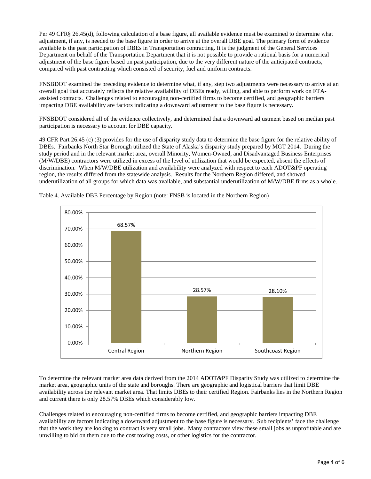Per 49 CFR§ 26.45(d), following calculation of a base figure, all available evidence must be examined to determine what adjustment, if any, is needed to the base figure in order to arrive at the overall DBE goal. The primary form of evidence available is the past participation of DBEs in Transportation contracting. It is the judgment of the General Services Department on behalf of the Transportation Department that it is not possible to provide a rational basis for a numerical adjustment of the base figure based on past participation, due to the very different nature of the anticipated contracts, compared with past contracting which consisted of security, fuel and uniform contracts.

FNSBDOT examined the preceding evidence to determine what, if any, step two adjustments were necessary to arrive at an overall goal that accurately reflects the relative availability of DBEs ready, willing, and able to perform work on FTAassisted contracts. Challenges related to encouraging non-certified firms to become certified, and geographic barriers impacting DBE availability are factors indicating a downward adjustment to the base figure is necessary.

FNSBDOT considered all of the evidence collectively, and determined that a downward adjustment based on median past participation is necessary to account for DBE capacity.

49 CFR Part 26.45 (c) (3) provides for the use of disparity study data to determine the base figure for the relative ability of DBEs. Fairbanks North Star Borough utilized the State of Alaska's disparity study prepared by MGT 2014. During the study period and in the relevant market area, overall Minority, Women-Owned, and Disadvantaged Business Enterprises (M/W/DBE) contractors were utilized in excess of the level of utilization that would be expected, absent the effects of discrimination. When M/W/DBE utilization and availability were analyzed with respect to each ADOT&PF operating region, the results differed from the statewide analysis. Results for the Northern Region differed, and showed underutilization of all groups for which data was available, and substantial underutilization of M/W/DBE firms as a whole.



Table 4. Available DBE Percentage by Region (note: FNSB is located in the Northern Region)

To determine the relevant market area data derived from the 2014 ADOT&PF Disparity Study was utilized to determine the market area, geographic units of the state and boroughs. There are geographic and logistical barriers that limit DBE availability across the relevant market area. That limits DBEs to their certified Region. Fairbanks lies in the Northern Region and current there is only 28.57% DBEs which considerably low.

Challenges related to encouraging non-certified firms to become certified, and geographic barriers impacting DBE availability are factors indicating a downward adjustment to the base figure is necessary. Sub recipients' face the challenge that the work they are looking to contract is very small jobs. Many contractors view these small jobs as unprofitable and are unwilling to bid on them due to the cost towing costs, or other logistics for the contractor.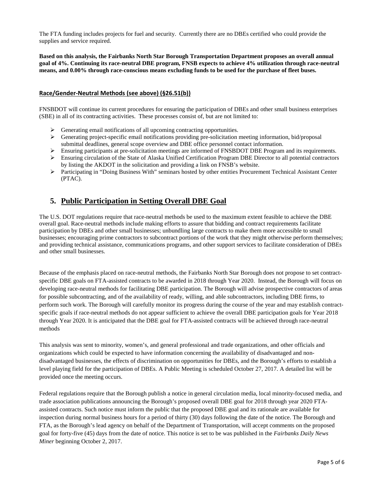The FTA funding includes projects for fuel and security. Currently there are no DBEs certified who could provide the supplies and service required.

**Based on this analysis, the Fairbanks North Star Borough Transportation Department proposes an overall annual goal of 4%. Continuing its race-neutral DBE program, FNSB expects to achieve 4% utilization through race-neutral means, and 0.00% through race-conscious means excluding funds to be used for the purchase of fleet buses.**

#### **Race/Gender-Neutral Methods (see above) (§26.51(b))**

FNSBDOT will continue its current procedures for ensuring the participation of DBEs and other small business enterprises (SBE) in all of its contracting activities. These processes consist of, but are not limited to:

- $\triangleright$  Generating email notifications of all upcoming contracting opportunities.
- Generating project-specific email notifications providing pre-solicitation meeting information, bid/proposal submittal deadlines, general scope overview and DBE office personnel contact information.
- $\triangleright$  Ensuring participants at pre-solicitation meetings are informed of FNSBDOT DBE Program and its requirements.
- $\triangleright$  Ensuring circulation of the State of Alaska Unified Certification Program DBE Director to all potential contractors by listing the AKDOT in the solicitation and providing a link on FNSB's website.
- Participating in "Doing Business With" seminars hosted by other entities Procurement Technical Assistant Center (PTAC).

### **5. Public Participation in Setting Overall DBE Goal**

The U.S. DOT regulations require that race-neutral methods be used to the maximum extent feasible to achieve the DBE overall goal. Race-neutral methods include making efforts to assure that bidding and contract requirements facilitate participation by DBEs and other small businesses; unbundling large contracts to make them more accessible to small businesses; encouraging prime contractors to subcontract portions of the work that they might otherwise perform themselves; and providing technical assistance, communications programs, and other support services to facilitate consideration of DBEs and other small businesses.

Because of the emphasis placed on race-neutral methods, the Fairbanks North Star Borough does not propose to set contractspecific DBE goals on FTA-assisted contracts to be awarded in 2018 through Year 2020. Instead, the Borough will focus on developing race-neutral methods for facilitating DBE participation. The Borough will advise prospective contractors of areas for possible subcontracting, and of the availability of ready, willing, and able subcontractors, including DBE firms, to perform such work. The Borough will carefully monitor its progress during the course of the year and may establish contractspecific goals if race-neutral methods do not appear sufficient to achieve the overall DBE participation goals for Year 2018 through Year 2020. It is anticipated that the DBE goal for FTA-assisted contracts will be achieved through race-neutral methods

This analysis was sent to minority, women's, and general professional and trade organizations, and other officials and organizations which could be expected to have information concerning the availability of disadvantaged and nondisadvantaged businesses, the effects of discrimination on opportunities for DBEs, and the Borough's efforts to establish a level playing field for the participation of DBEs. A Public Meeting is scheduled October 27, 2017. A detailed list will be provided once the meeting occurs.

Federal regulations require that the Borough publish a notice in general circulation media, local minority-focused media, and trade association publications announcing the Borough's proposed overall DBE goal for 2018 through year 2020 FTAassisted contracts. Such notice must inform the public that the proposed DBE goal and its rationale are available for inspection during normal business hours for a period of thirty (30) days following the date of the notice. The Borough and FTA, as the Borough's lead agency on behalf of the Department of Transportation, will accept comments on the proposed goal for forty-five (45) days from the date of notice. This notice is set to be was published in the *Fairbanks Daily News Miner* beginning October 2, 2017.